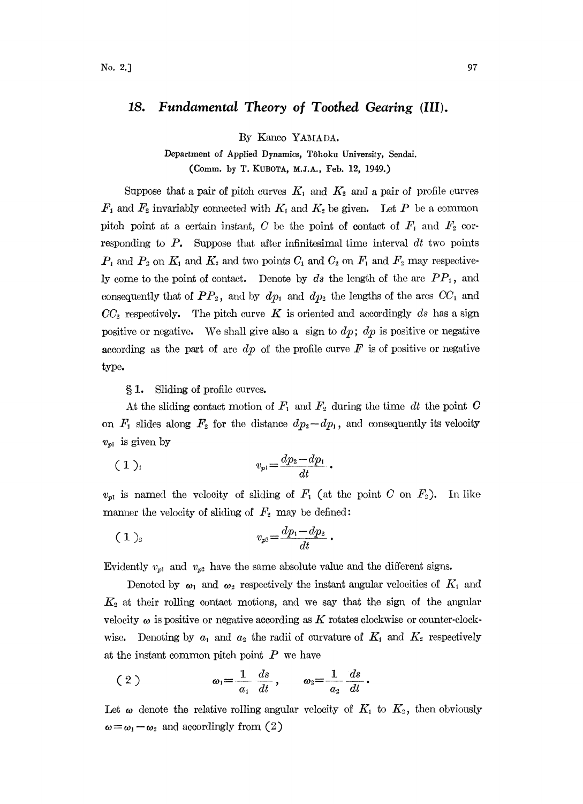## 18. Fundamental Theory of Toothed Gearing (III).

By Kaneo YAMADA.

Department of Applied Dynamics, T6hoku University, Sendai. (Comm. by T. KUBOTA, M.J.A., Feb. 12, 1949.)

Suppose that a pair of pitch curves  $K_1$  and  $K_2$  and a pair of profile curves  $F_1$  and  $F_2$  invariably connected with  $K_1$  and  $K_2$  be given. Let P be a common pitch point at a certain instant, C be the point of contact of  $F_1$  and  $F_2$  corresponding to  $P$ . Suppose that after infinitesimal time interval  $dt$  two points  $P_1$  and  $P_2$  on  $K_1$  and  $K_2$  and two points  $C_1$  and  $C_2$  on  $F_1$  and  $F_2$  may respectively come to the point of contact. Denote by ds the length of the arc  $PP_1$ , and consequently that of  $PP_2$ , and by  $dp_1$  and  $dp_2$  the lengths of the arcs  $CC_1$  and  $CC_2$  respectively. The pitch curve K is oriented and accordingly ds has a sign positive or negative. We shall give also a sign to  $dp$ ;  $dp$  is positive or negative according as the part of arc  $dp$  of the profile curve  $F$  is of positive or negative type.

1. Sliding of profile curves.

At the sliding contact motion of  $F_1$  and  $F_2$  during the time dt the point O on  $F_1$  slides along  $F_2$  for the distance  $dp_2 - dp_1$ , and consequently its velocity  $v_{p1}$  is given by

$$
(1)_{i} \qquad \qquad v_{p1} = \frac{dp_{2} - dp_{1}}{dt}.
$$

 $v_{p1}$  is named the velocity of sliding of  $F_1$  (at the point C on  $F_2$ ). In like manner the velocity of sliding of  $F_2$  may be defined:

$$
(1)_2 \t v_{p2} = \frac{dp_1 - dp_2}{dt}
$$

Evidently  $v_{p1}$  and  $v_{p2}$  have the same absolute value and the different signs.

Denoted by  $\omega_1$  and  $\omega_2$  respectively the instant angular velocities of  $K_1$  and  $K_2$  at their rolling contact motions, and we say that the sign of the angular velocity  $\omega$  is positive or negative according as K rotates clockwise or counter-clockwise. Denoting by  $a_1$  and  $a_2$  the radii of curvature of  $K_1$  and  $K_2$  respectively at the instant common pitch point  $P$  we have

$$
(2) \t\t\t\t\t\t\omega_1=\frac{1}{a_1}\frac{ds}{dt}, \t\t\t\t\omega_2=\frac{1}{a_2}\frac{ds}{dt}.
$$

Let  $\omega$  denote the relative rolling angular velocity of  $K_1$  to  $K_2$ , then obviously  $\omega = \omega_1 - \omega_2$  and accordingly from (2)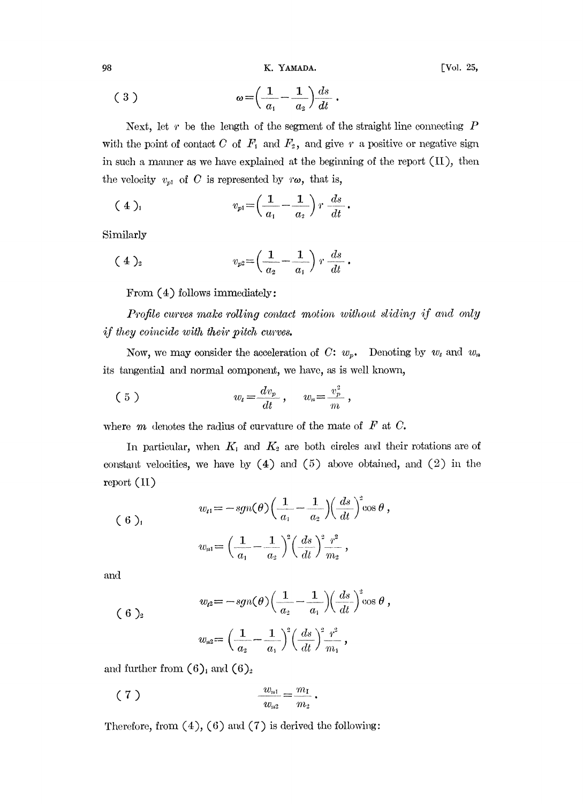98 K. YAMADA. [Vol. 25,

$$
(3) \qquad \qquad \omega = \left(\frac{1}{a_1} - \frac{1}{a_2}\right) \frac{ds}{dt}
$$

Next, let  $r$  be the length of the segment of the straight line connecting  $P$ with the point of contact C of  $F_1$  and  $F_2$ , and give r a positive or negative sign in such <sup>a</sup> mmmer as we have explained at he beginning of the report (II), then the velocity  $v_{p1}$  of C is represented by  $r\omega$ , that is,

$$
(4)_{1} \qquad \qquad v_{p1} = \left(\frac{1}{a_{1}} - \frac{1}{a_{2}}\right) r \frac{ds}{dt}.
$$

Similarly

$$
(4)_{2} \t v_{p2} = \left(\frac{1}{a_{2}} - \frac{1}{a_{1}}\right) r \frac{ds}{dt}.
$$

From  $(4)$  follows immediately:

Profile curves make rolling contact motion without sliding if and only if they coincide with their pitch curves.

Now, we may consider the acceleration of  $C: w_p$ . Denoting by  $w_t$  and  $w_n$ its tangential and normal component, we have, as is well known,

$$
(5) \t\t w_t = \frac{dv_p}{dt}, \t w_n = \frac{v_p^2}{m},
$$

where  $m$  denotes the radius of curvature of the mate of  $F$  at  $C$ .

In particular, when  $K_1$  and  $K_2$  are both circles and their rotations are of constant velocities, we have by  $(4)$  and  $(5)$  above obtained, and  $(2)$  in the report (II)

(6)<sub>1</sub> 
$$
w_{t1} = -sgn(\theta) \left( \frac{1}{a_1} - \frac{1}{a_2} \right) \left( \frac{ds}{dt} \right)^2 \cos \theta,
$$

$$
w_{n1} = \left( \frac{1}{a_1} - \frac{1}{a_2} \right)^2 \left( \frac{ds}{dt} \right)^2 \frac{r^2}{m_2},
$$

and

(6)<sub>2</sub> 
$$
w_{t} = -sgn(\theta) \left( \frac{1}{a_2} - \frac{1}{a_1} \right) \left( \frac{ds}{dt} \right)^2 \cos \theta,
$$

$$
w_{t} = \left( \frac{1}{a_2} - \frac{1}{a_1} \right)^2 \left( \frac{ds}{dt} \right)^2 \frac{\eta^2}{m_1},
$$

and further from  $(6)$ <sub>1</sub> and  $(6)$ <sub>2</sub>

$$
(7) \t\t \t\t \frac{w_{n1}}{w_{n2}} = \frac{m_1}{m_2}.
$$

Therefore, from  $(4)$ ,  $(6)$  and  $(7)$  is derived the following: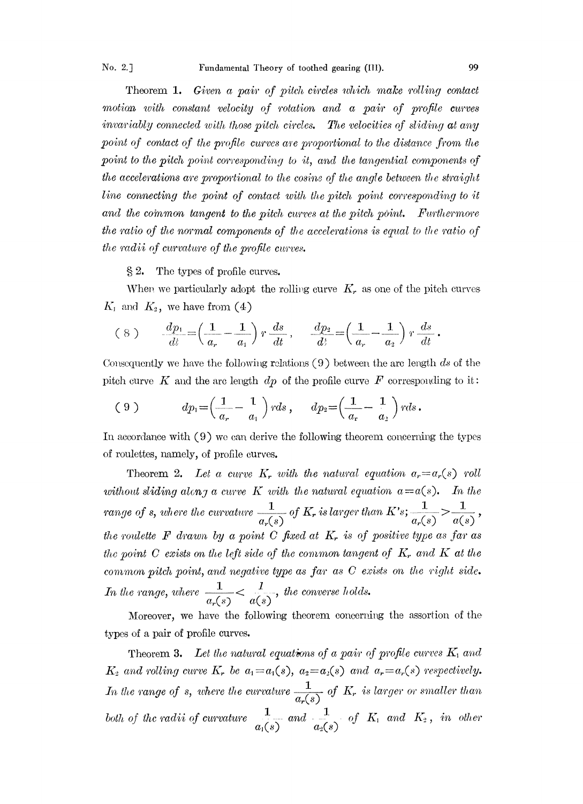Theorem 1. Given a pair of pitch circles which make rolling contact motion with constant velocity of rotation and a pair of profile curves invariably connected with those pitch circles. The velocities of sliding at any point of contact of the profile curves are proportional to the distance from the point to the pitch point corresponding to it, and the tangential components of the accelerations are proportional to the cosine of the angle between the straight line connecting the point of contact with the pitch point corresponding to it and the common tangent to the pitch curves at the pitch point. Furthermore the ratio of the normal components of the accelerations is equal to the ratio of the radii of curvature of the profile curves.

 $\S 2$ . The types of profile curves.

When we particularly adopt the rolling curve  $K_r$  as one of the pitch curves  $K_1$  and  $K_2$ , we have from (4)

$$
(8) \qquad \frac{dp_1}{dt} = \left(\frac{1}{a_r} - \frac{1}{a_1}\right) r \frac{ds}{dt}, \qquad \frac{dp_2}{dt} = \left(\frac{1}{a_r} - \frac{1}{a_2}\right) r \frac{ds}{dt}
$$

Consequently we have the following relations  $(9)$  between the arc length ds of the pitch curve K and the arc length  $dp$  of the profile curve F corresponding to it:

$$
(9) \t dp_1 = \left(\frac{1}{a_r} - \frac{1}{a_1}\right) r ds, \t dp_2 = \left(\frac{1}{a_r} - \frac{1}{a_2}\right) r ds.
$$

In accordance with (9) we can derive the following theorem concerning the types of roulettes, namely, of profile curves.

Theorem 2. Let a curve K, with the natural equation  $a_r = a_r(s)$  roll without sliding along a curve K with the natural equation  $a = a(s)$ . In the range of s, where the curvature  $\frac{1}{a_r(s)}$  of K<sub>r</sub> is larger than K's;  $\frac{1}{a_r(s)} > \frac{1}{a(s)}$ , the roulette  $\bf{F}$  drawn by a point  $\bf{C}$  fixed at  $\bf{K}_r$  is of positive type as far as the point C exists on the left side of the common tangent of  $K_r$ , and  $K$  at the common pitch point, and negative type as far as C exists on the right side. In the range, where  $\frac{1}{a_r(s)} < \frac{1}{a(s)}$ , the converse holds.

Moreover, we have the following theorem concerning the assortion of the types of a pair of profile curves.

Theorem 3. Let the natural equations of a pair of profile curves  $K_i$  and  $K_2$  and rolling curve  $K_r$  be  $a_1 = a_1(s)$ ,  $a_2 = a_2(s)$  and  $a_r = a_r(s)$  respectively. In the range of s, where the curvature  $\frac{1}{a_r(s)}$  of K, is larger or smaller than both of the radii of curvature  $\frac{1}{a_1(s)}$  and  $\frac{1}{a_2(s)}$  of  $K_1$  and  $K_2$ , in other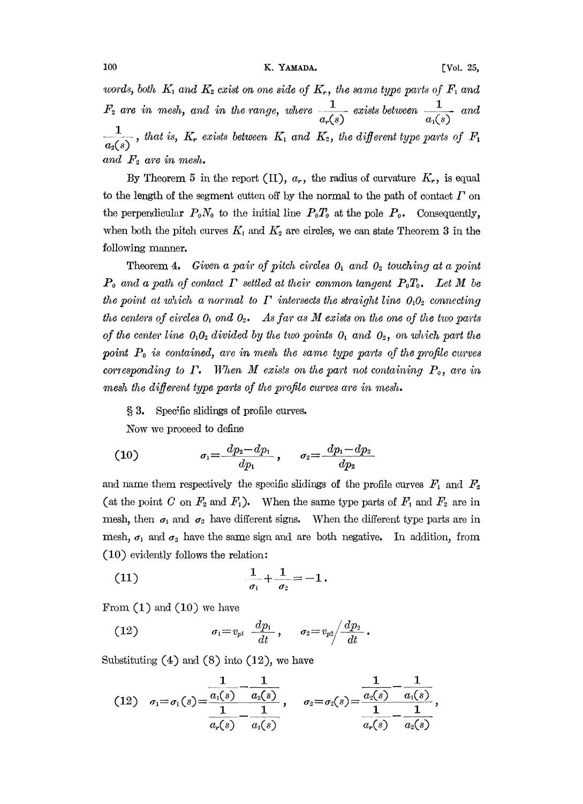words, both  $K_1$  and  $K_2$  cxist on one side of  $K_r$ , the same type parts of  $F_1$  and  $F_2$  are in mesh, and in the range, where  $\frac{1}{a_r(s)}$  exists between  $\frac{1}{a_1(s)}$  and 1  $\frac{1}{a_2(s)}$ , that is,  $K_r$  exists between  $K_1$  and  $K_2$ , the different type parts of  $F_1$ and  $F_2$  are in mesh.<br>By Theorem 5 in

By Theorem 5 in the report (II),  $a_r$ , the radius of curvature  $K_r$ , is equal to the length of the segment cutten off by the normal to the path of contact  $\Gamma$  on the perpendicular  $P_0N_0$  to the initial line  $P_0T_0$  at the pole  $P_0$ . Consequently, when both the pitch curves  $K_1$  and  $K_2$  are circles, we can state Theorem 3 in the following manner.

Theorem 4. Given a pair of pitch circles  $0<sub>1</sub>$  and  $0<sub>2</sub>$  touching at a point  $P_0$  and a path of contact  $\Gamma$  settled at their conmon tangent  $P_0T_0$ . Let M be the point at which a normal to  $\Gamma$  intersects the straight line  $0_10_2$  connecting the centers of circles  $0_1$  ond  $0_2$ . As far as M exists on the one of the two parts of the center line  $0<sub>1</sub>0<sub>2</sub>$  divided by the two points  $0<sub>1</sub>$  and  $0<sub>2</sub>$ , on which part the point  $P_0$  is contained, are in mesh the same type parts of the profile curves corresponding to  $\Gamma$ . When M exists on the part not containing  $P_0$ , are in mesh the different type parts of the profile curves are in mesh.

3. Specific slidings of profile curves.

Now we proceed to define

(10) 
$$
\sigma_1 = \frac{dp_2 - dp_1}{dp_1}, \quad \sigma_2 = \frac{dp_1 - dp_2}{dp_2}
$$

and name them respectively the specific slidings of the profile curves  $F_1$  and  $F_2$ (at the point C on  $F_2$  and  $F_1$ ). When the same type parts of  $F_1$  and  $F_2$  are in mesh, then  $\sigma_1$  and  $\sigma_2$  have different signs. When the different type parts are in mesh,  $\sigma_1$  and  $\sigma_2$  have the same sign and are both negative. In addition, from  $(10)$  evidently follows the relation:

(11) 
$$
\frac{1}{\sigma_1} + \frac{1}{\sigma_2} = -1.
$$

From  $(1)$  and  $(10)$  we have

(12) 
$$
\sigma_1 = v_{p1} \frac{dp_1}{dt}, \quad \sigma_2 = v_{p2} \left/ \frac{dp_2}{dt}.
$$

Substituting  $(4)$  and  $(8)$  into  $(12)$ , we have

$$
(12) \quad \sigma_1 = \sigma_1(s) = \frac{\frac{1}{a_1(s)} - \frac{1}{a_2(s)}}{\frac{1}{a_r(s)} - \frac{1}{a_1(s)}}, \quad \sigma_2 = \sigma_2(s) = \frac{\frac{1}{a_2(s)} - \frac{1}{a_1(s)}}{\frac{1}{a_r(s)} - \frac{1}{a_2(s)}},
$$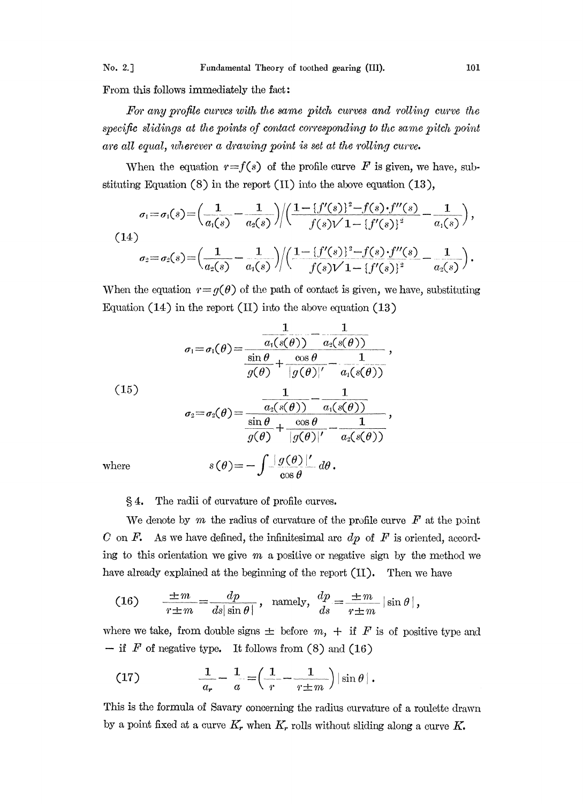From this follows immediately the fact:

For any profile curves with the same pitch curves and rolling curve the specific slidings at the points of contact corresponding to the same pitch point are all equal, wherever a drawing point is set at the rolling curve.

When the equation  $r=f(s)$  of the profile curve F is given, we have, substituting Equation (8) in the report (H) into the above equation (13),

$$
\sigma_1 = \sigma_1(s) = \left(\frac{1}{a_1(s)} - \frac{1}{a_2(s)}\right) \left(\frac{1 - \{f'(s)\}^2 - f(s) \cdot f''(s)}{f(s)\sqrt{1 - \{f'(s)\}^2}} - \frac{1}{a_1(s)}\right),
$$
\n(14)\n
$$
\sigma_2 = \sigma_2(s) = \left(\frac{1}{a_2(s)} - \frac{1}{a_1(s)}\right) \left(\frac{1 - \{f'(s)\}^2 - f(s) \cdot f''(s)}{f(s)\sqrt{1 - \{f'(s)\}^2}} - \frac{1}{a_2(s)}\right).
$$
\nWhen the equation  $r = g(\theta)$  of the path of contact is given, we have, substituting

Equation  $(14)$  in the report  $(II)$  into the above equation  $(13)$ 

$$
\sigma_1 = \sigma_1(\theta) = \frac{\frac{1}{a_1(s(\theta))} - \frac{1}{a_2(s(\theta))}}{\frac{\sin \theta}{g(\theta)} + \frac{\cos \theta}{|g(\theta)|} - \frac{1}{a_1(s(\theta))}},
$$
\n(15)\n
$$
\sigma_2 = \sigma_2(\theta) = \frac{\frac{1}{a_2(s(\theta))} - \frac{1}{a_1(s(\theta))}}{\frac{\sin \theta}{g(\theta)} + \frac{\cos \theta}{|g(\theta)|} - \frac{1}{a_2(s(\theta))}},
$$
\nwhere\n
$$
s(\theta) = -\int \frac{|g(\theta)|^{\prime}}{\cos \theta} d\theta.
$$

4. The radii of curvature of profile curves.

We denote by  $m$  the radius of curvature of the profile curve  $F$  at the point C on F. As we have defined, the infinitesimal arc  $dp$  of F is oriented, according to this orientation we give  $m$  a positive or negative sign by the method we

have already explained at the beginning of the report (II). Then we have  
\n(16) 
$$
\frac{\pm m}{r \pm m} = \frac{dp}{ds |\sin \theta|}, \text{ namely, } \frac{dp}{ds} = \frac{\pm m}{r \pm m} |\sin \theta|,
$$

where we take, from double signs  $\pm$  before  $m$ ,  $+$  if F is of positive type and  $-$  if F of negative type. It follows from (8) and (16)

$$
(17) \qquad \frac{1}{a_r} - \frac{1}{a} = \left(\frac{1}{r} - \frac{1}{r \pm m}\right) |\sin \theta|.
$$

This is the formula of Savary concerning the radius curvature of a roulette drawn by a point fixed at a curve  $K_r$ , when  $K_r$  rolls without sliding along a curve K.